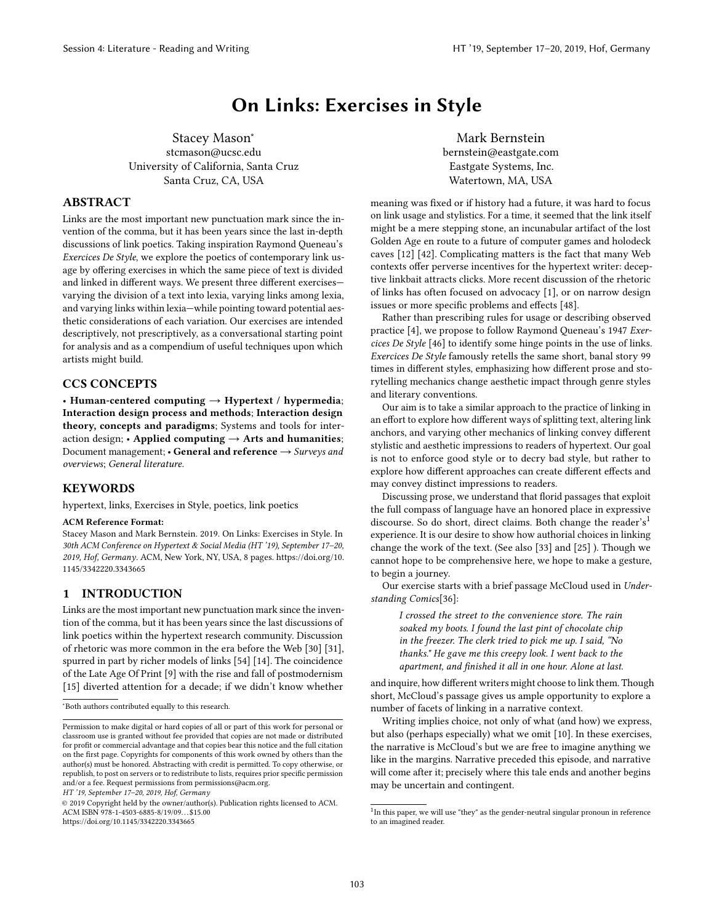# On Links: Exercises in Style

Stacey Mason<sup>∗</sup> stcmason@ucsc.edu University of California, Santa Cruz Santa Cruz, CA, USA

## ABSTRACT

Links are the most important new punctuation mark since the invention of the comma, but it has been years since the last in-depth discussions of link poetics. Taking inspiration Raymond Queneau's Exercices De Style, we explore the poetics of contemporary link usage by offering exercises in which the same piece of text is divided and linked in different ways. We present three different exercises varying the division of a text into lexia, varying links among lexia, and varying links within lexia—while pointing toward potential aesthetic considerations of each variation. Our exercises are intended descriptively, not prescriptively, as a conversational starting point for analysis and as a compendium of useful techniques upon which artists might build.

# CCS CONCEPTS

• Human-centered computing  $\rightarrow$  Hypertext / hypermedia; Interaction design process and methods; Interaction design theory, concepts and paradigms; Systems and tools for interaction design; • Applied computing  $\rightarrow$  Arts and humanities; Document management; • General and reference  $\rightarrow$  Surveys and overviews; General literature.

#### KEYWORDS

hypertext, links, Exercises in Style, poetics, link poetics

#### ACM Reference Format:

Stacey Mason and Mark Bernstein. 2019. On Links: Exercises in Style. In 30th ACM Conference on Hypertext & Social Media (HT '19), September 17–20, 2019, Hof, Germany. ACM, New York, NY, USA, [8](#page-7-0) pages. [https://doi.org/10.](https://doi.org/10.1145/3342220.3343665) [1145/3342220.3343665](https://doi.org/10.1145/3342220.3343665)

## 1 INTRODUCTION

Links are the most important new punctuation mark since the invention of the comma, but it has been years since the last discussions of link poetics within the hypertext research community. Discussion of rhetoric was more common in the era before the Web [\[30\]](#page-7-1) [\[31\]](#page-7-2), spurred in part by richer models of links [\[54\]](#page-7-3) [\[14\]](#page-6-0). The coincidence of the Late Age Of Print [\[9\]](#page-6-1) with the rise and fall of postmodernism [\[15\]](#page-6-2) diverted attention for a decade; if we didn't know whether

HT '19, September 17–20, 2019, Hof, Germany

© 2019 Copyright held by the owner/author(s). Publication rights licensed to ACM. ACM ISBN 978-1-4503-6885-8/19/09. . . \$15.00 <https://doi.org/10.1145/3342220.3343665>

Mark Bernstein bernstein@eastgate.com Eastgate Systems, Inc. Watertown, MA, USA

meaning was fixed or if history had a future, it was hard to focus on link usage and stylistics. For a time, it seemed that the link itself might be a mere stepping stone, an incunabular artifact of the lost Golden Age en route to a future of computer games and holodeck caves [\[12\]](#page-6-3) [\[42\]](#page-7-4). Complicating matters is the fact that many Web contexts offer perverse incentives for the hypertext writer: deceptive linkbait attracts clicks. More recent discussion of the rhetoric of links has often focused on advocacy [\[1\]](#page-6-4), or on narrow design issues or more specific problems and effects [\[48\]](#page-7-5).

Rather than prescribing rules for usage or describing observed practice [\[4\]](#page-6-5), we propose to follow Raymond Queneau's 1947 Exercices De Style [\[46\]](#page-7-6) to identify some hinge points in the use of links. Exercices De Style famously retells the same short, banal story 99 times in different styles, emphasizing how different prose and storytelling mechanics change aesthetic impact through genre styles and literary conventions.

Our aim is to take a similar approach to the practice of linking in an effort to explore how different ways of splitting text, altering link anchors, and varying other mechanics of linking convey different stylistic and aesthetic impressions to readers of hypertext. Our goal is not to enforce good style or to decry bad style, but rather to explore how different approaches can create different effects and may convey distinct impressions to readers.

Discussing prose, we understand that florid passages that exploit the full compass of language have an honored place in expressive discourse. So do short, direct claims. Both change the reader's[1](#page-0-0) experience. It is our desire to show how authorial choices in linking change the work of the text. (See also [\[33\]](#page-7-7) and [\[25\]](#page-7-8) ). Though we cannot hope to be comprehensive here, we hope to make a gesture, to begin a journey.

Our exercise starts with a brief passage McCloud used in Understanding Comics[\[36\]](#page-7-9):

> I crossed the street to the convenience store. The rain soaked my boots. I found the last pint of chocolate chip in the freezer. The clerk tried to pick me up. I said, "No thanks." He gave me this creepy look. I went back to the apartment, and finished it all in one hour. Alone at last.

and inquire, how different writers might choose to link them. Though short, McCloud's passage gives us ample opportunity to explore a number of facets of linking in a narrative context.

Writing implies choice, not only of what (and how) we express, but also (perhaps especially) what we omit [\[10\]](#page-6-6). In these exercises, the narrative is McCloud's but we are free to imagine anything we like in the margins. Narrative preceded this episode, and narrative will come after it; precisely where this tale ends and another begins may be uncertain and contingent.

<sup>∗</sup>Both authors contributed equally to this research.

Permission to make digital or hard copies of all or part of this work for personal or classroom use is granted without fee provided that copies are not made or distributed for profit or commercial advantage and that copies bear this notice and the full citation on the first page. Copyrights for components of this work owned by others than the author(s) must be honored. Abstracting with credit is permitted. To copy otherwise, or republish, to post on servers or to redistribute to lists, requires prior specific permission and/or a fee. Request permissions from permissions@acm.org.

<span id="page-0-0"></span><sup>&</sup>lt;sup>1</sup>In this paper, we will use "they" as the gender-neutral singular pronoun in reference to an imagined reader.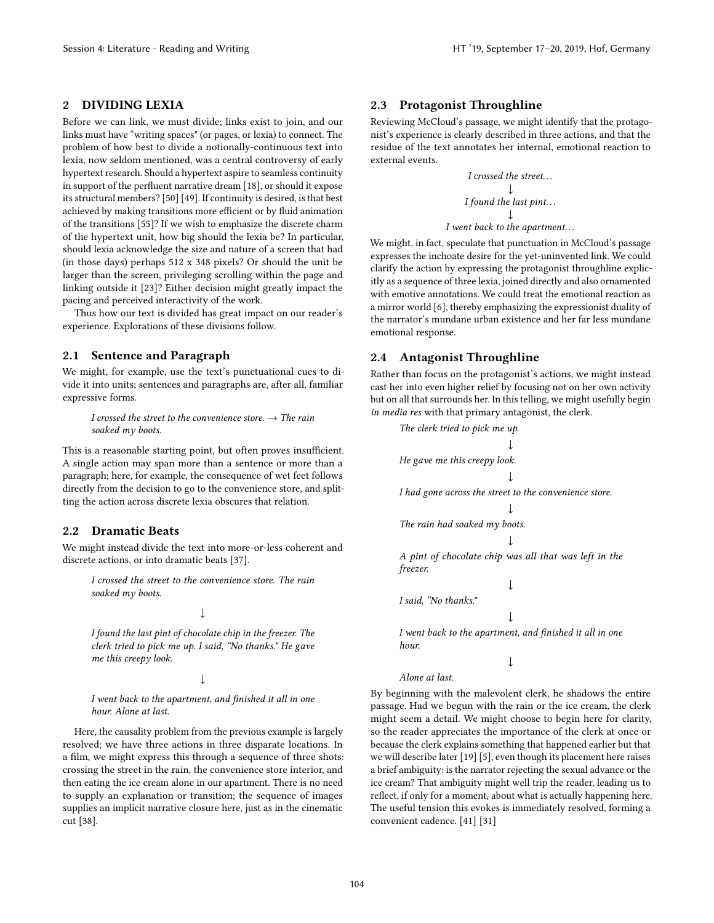## 2 DIVIDING LEXIA

Before we can link, we must divide; links exist to join, and our links must have "writing spaces" (or pages, or lexia) to connect. The problem of how best to divide a notionally-continuous text into lexia, now seldom mentioned, was a central controversy of early hypertext research. Should a hypertext aspire to seamless continuity in support of the perfluent narrative dream [\[18\]](#page-6-7), or should it expose its structural members? [\[50\]](#page-7-10) [\[49\]](#page-7-11). If continuity is desired, is that best achieved by making transitions more efficient or by fluid animation of the transitions [\[55\]](#page-7-12)? If we wish to emphasize the discrete charm of the hypertext unit, how big should the lexia be? In particular, should lexia acknowledge the size and nature of a screen that had (in those days) perhaps 512 x 348 pixels? Or should the unit be larger than the screen, privileging scrolling within the page and linking outside it [\[23\]](#page-7-13)? Either decision might greatly impact the pacing and perceived interactivity of the work.

Thus how our text is divided has great impact on our reader's experience. Explorations of these divisions follow.

## 2.1 Sentence and Paragraph

We might, for example, use the text's punctuational cues to divide it into units; sentences and paragraphs are, after all, familiar expressive forms.

I crossed the street to the convenience store.  $\rightarrow$  The rain soaked my boots.

This is a reasonable starting point, but often proves insufficient. A single action may span more than a sentence or more than a paragraph; here, for example, the consequence of wet feet follows directly from the decision to go to the convenience store, and splitting the action across discrete lexia obscures that relation.

#### 2.2 Dramatic Beats

We might instead divide the text into more-or-less coherent and discrete actions, or into dramatic beats [\[37\]](#page-7-14).

I crossed the street to the convenience store. The rain soaked my boots.

↓

I found the last pint of chocolate chip in the freezer. The clerk tried to pick me up. I said, "No thanks." He gave me this creepy look.

#### $\perp$

I went back to the apartment, and finished it all in one hour. Alone at last.

Here, the causality problem from the previous example is largely resolved; we have three actions in three disparate locations. In a film, we might express this through a sequence of three shots: crossing the street in the rain, the convenience store interior, and then eating the ice cream alone in our apartment. There is no need to supply an explanation or transition; the sequence of images supplies an implicit narrative closure here, just as in the cinematic cut [\[38\]](#page-7-15).

## 2.3 Protagonist Throughline

Reviewing McCloud's passage, we might identify that the protagonist's experience is clearly described in three actions, and that the residue of the text annotates her internal, emotional reaction to external events.

$$
\begin{array}{c}\nI\text{ crossed the street...} \\
\downarrow \\
I\text{found the last pint...} \\
\downarrow \\
I\text{ went back to the apartment...}\n\end{array}
$$

We might, in fact, speculate that punctuation in McCloud's passage expresses the inchoate desire for the yet-uninvented link. We could clarify the action by expressing the protagonist throughline explicitly as a sequence of three lexia, joined directly and also ornamented with emotive annotations. We could treat the emotional reaction as a mirror world [\[6\]](#page-6-8), thereby emphasizing the expressionist duality of the narrator's mundane urban existence and her far less mundane emotional response.

#### 2.4 Antagonist Throughline

Rather than focus on the protagonist's actions, we might instead cast her into even higher relief by focusing not on her own activity but on all that surrounds her. In this telling, we might usefully begin in media res with that primary antagonist, the clerk.



Alone at last.

By beginning with the malevolent clerk, he shadows the entire passage. Had we begun with the rain or the ice cream, the clerk might seem a detail. We might choose to begin here for clarity, so the reader appreciates the importance of the clerk at once or because the clerk explains something that happened earlier but that we will describe later [\[19\]](#page-6-9) [\[5\]](#page-6-10), even though its placement here raises a brief ambiguity: is the narrator rejecting the sexual advance or the ice cream? That ambiguity might well trip the reader, leading us to reflect, if only for a moment, about what is actually happening here. The useful tension this evokes is immediately resolved, forming a convenient cadence. [\[41\]](#page-7-16) [\[31\]](#page-7-2)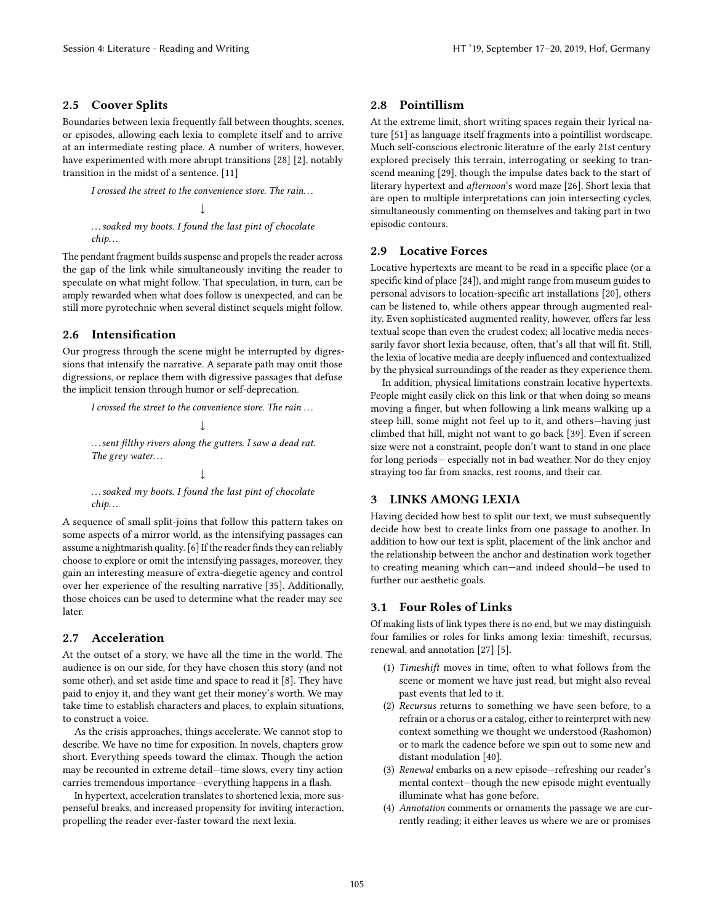## 2.5 Coover Splits

Boundaries between lexia frequently fall between thoughts, scenes, or episodes, allowing each lexia to complete itself and to arrive at an intermediate resting place. A number of writers, however, have experimented with more abrupt transitions [\[28\]](#page-7-17) [\[2\]](#page-6-11), notably transition in the midst of a sentence. [\[11\]](#page-6-12)

I crossed the street to the convenience store. The rain. . . ↓

. . . soaked my boots. I found the last pint of chocolate  $chip...$ 

The pendant fragment builds suspense and propels the reader across the gap of the link while simultaneously inviting the reader to speculate on what might follow. That speculation, in turn, can be amply rewarded when what does follow is unexpected, and can be still more pyrotechnic when several distinct sequels might follow.

#### 2.6 Intensification

Our progress through the scene might be interrupted by digressions that intensify the narrative. A separate path may omit those digressions, or replace them with digressive passages that defuse the implicit tension through humor or self-deprecation.

I crossed the street to the convenience store. The rain . . .

↓

. . . sent filthy rivers along the gutters. I saw a dead rat. The grey water...

↓ . . . soaked my boots. I found the last pint of chocolate chip. . .

A sequence of small split-joins that follow this pattern takes on some aspects of a mirror world, as the intensifying passages can assume a nightmarish quality. [\[6\]](#page-6-8) If the reader finds they can reliably choose to explore or omit the intensifying passages, moreover, they gain an interesting measure of extra-diegetic agency and control over her experience of the resulting narrative [\[35\]](#page-7-18). Additionally, those choices can be used to determine what the reader may see later.

## 2.7 Acceleration

At the outset of a story, we have all the time in the world. The audience is on our side, for they have chosen this story (and not some other), and set aside time and space to read it [\[8\]](#page-6-13). They have paid to enjoy it, and they want get their money's worth. We may take time to establish characters and places, to explain situations, to construct a voice.

As the crisis approaches, things accelerate. We cannot stop to describe. We have no time for exposition. In novels, chapters grow short. Everything speeds toward the climax. Though the action may be recounted in extreme detail—time slows, every tiny action carries tremendous importance—everything happens in a flash.

In hypertext, acceleration translates to shortened lexia, more suspenseful breaks, and increased propensity for inviting interaction, propelling the reader ever-faster toward the next lexia.

#### 2.8 Pointillism

At the extreme limit, short writing spaces regain their lyrical nature [\[51\]](#page-7-19) as language itself fragments into a pointillist wordscape. Much self-conscious electronic literature of the early 21st century explored precisely this terrain, interrogating or seeking to transcend meaning [\[29\]](#page-7-20), though the impulse dates back to the start of literary hypertext and afternoon's word maze [\[26\]](#page-7-21). Short lexia that are open to multiple interpretations can join intersecting cycles, simultaneously commenting on themselves and taking part in two episodic contours.

### 2.9 Locative Forces

Locative hypertexts are meant to be read in a specific place (or a specific kind of place [\[24\]](#page-7-22)), and might range from museum guides to personal advisors to location-specific art installations [\[20\]](#page-6-14), others can be listened to, while others appear through augmented reality. Even sophisticated augmented reality, however, offers far less textual scope than even the crudest codex; all locative media necessarily favor short lexia because, often, that's all that will fit. Still, the lexia of locative media are deeply influenced and contextualized by the physical surroundings of the reader as they experience them.

In addition, physical limitations constrain locative hypertexts. People might easily click on this link or that when doing so means moving a finger, but when following a link means walking up a steep hill, some might not feel up to it, and others—having just climbed that hill, might not want to go back [\[39\]](#page-7-23). Even if screen size were not a constraint, people don't want to stand in one place for long periods— especially not in bad weather. Nor do they enjoy straying too far from snacks, rest rooms, and their car.

# 3 LINKS AMONG LEXIA

Having decided how best to split our text, we must subsequently decide how best to create links from one passage to another. In addition to how our text is split, placement of the link anchor and the relationship between the anchor and destination work together to creating meaning which can—and indeed should—be used to further our aesthetic goals.

## 3.1 Four Roles of Links

Of making lists of link types there is no end, but we may distinguish four families or roles for links among lexia: timeshift, recursus, renewal, and annotation [\[27\]](#page-7-24) [\[5\]](#page-6-10).

- (1) Timeshift moves in time, often to what follows from the scene or moment we have just read, but might also reveal past events that led to it.
- (2) Recursus returns to something we have seen before, to a refrain or a chorus or a catalog, either to reinterpret with new context something we thought we understood (Rashomon) or to mark the cadence before we spin out to some new and distant modulation [\[40\]](#page-7-25).
- (3) Renewal embarks on a new episode—refreshing our reader's mental context—though the new episode might eventually illuminate what has gone before.
- (4) Annotation comments or ornaments the passage we are currently reading; it either leaves us where we are or promises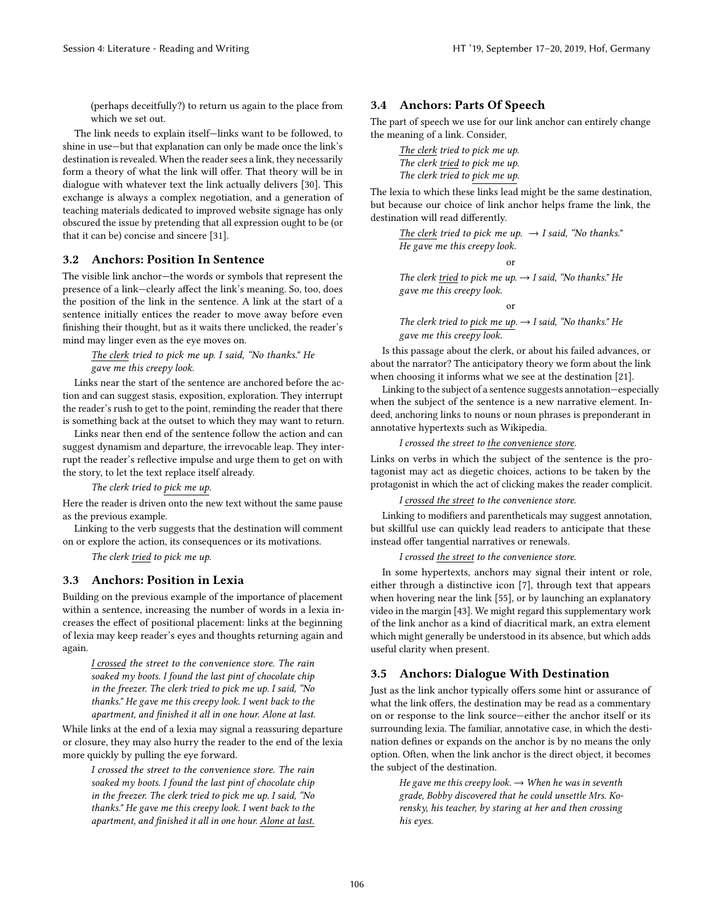(perhaps deceitfully?) to return us again to the place from which we set out.

The link needs to explain itself—links want to be followed, to shine in use—but that explanation can only be made once the link's destination is revealed. When the reader sees a link, they necessarily form a theory of what the link will offer. That theory will be in dialogue with whatever text the link actually delivers [\[30\]](#page-7-1). This exchange is always a complex negotiation, and a generation of teaching materials dedicated to improved website signage has only obscured the issue by pretending that all expression ought to be (or that it can be) concise and sincere [\[31\]](#page-7-2).

## 3.2 Anchors: Position In Sentence

The visible link anchor—the words or symbols that represent the presence of a link—clearly affect the link's meaning. So, too, does the position of the link in the sentence. A link at the start of a sentence initially entices the reader to move away before even finishing their thought, but as it waits there unclicked, the reader's mind may linger even as the eye moves on.

The clerk tried to pick me up. I said, "No thanks." He gave me this creepy look.

Links near the start of the sentence are anchored before the action and can suggest stasis, exposition, exploration. They interrupt the reader's rush to get to the point, reminding the reader that there is something back at the outset to which they may want to return.

Links near then end of the sentence follow the action and can suggest dynamism and departure, the irrevocable leap. They interrupt the reader's reflective impulse and urge them to get on with the story, to let the text replace itself already.

The clerk tried to pick me up.

Here the reader is driven onto the new text without the same pause as the previous example.

Linking to the verb suggests that the destination will comment on or explore the action, its consequences or its motivations.

The clerk tried to pick me up.

#### 3.3 Anchors: Position in Lexia

Building on the previous example of the importance of placement within a sentence, increasing the number of words in a lexia increases the effect of positional placement: links at the beginning of lexia may keep reader's eyes and thoughts returning again and again.

I crossed the street to the convenience store. The rain soaked my boots. I found the last pint of chocolate chip in the freezer. The clerk tried to pick me up. I said, "No thanks." He gave me this creepy look. I went back to the apartment, and finished it all in one hour. Alone at last.

While links at the end of a lexia may signal a reassuring departure or closure, they may also hurry the reader to the end of the lexia more quickly by pulling the eye forward.

I crossed the street to the convenience store. The rain soaked my boots. I found the last pint of chocolate chip in the freezer. The clerk tried to pick me up. I said, "No thanks." He gave me this creepy look. I went back to the apartment, and finished it all in one hour. Alone at last.

## 3.4 Anchors: Parts Of Speech

The part of speech we use for our link anchor can entirely change the meaning of a link. Consider,

> The clerk tried to pick me up. The clerk tried to pick me up. The clerk tried to pick me up.

The lexia to which these links lead might be the same destination, but because our choice of link anchor helps frame the link, the destination will read differently.

> The clerk tried to pick me up.  $\rightarrow$  I said, "No thanks." He gave me this creepy look. or

> The clerk tried to pick me up.  $\rightarrow$  I said, "No thanks." He gave me this creepy look.

or The clerk tried to pick me up.  $\rightarrow$  I said, "No thanks." He gave me this creepy look.

Is this passage about the clerk, or about his failed advances, or about the narrator? The anticipatory theory we form about the link when choosing it informs what we see at the destination [\[21\]](#page-6-15).

Linking to the subject of a sentence suggests annotation—especially when the subject of the sentence is a new narrative element. Indeed, anchoring links to nouns or noun phrases is preponderant in annotative hypertexts such as Wikipedia.

I crossed the street to the convenience store.

Links on verbs in which the subject of the sentence is the protagonist may act as diegetic choices, actions to be taken by the protagonist in which the act of clicking makes the reader complicit.

I crossed the street to the convenience store.

Linking to modifiers and parentheticals may suggest annotation, but skillful use can quickly lead readers to anticipate that these instead offer tangential narratives or renewals.

I crossed the street to the convenience store.

In some hypertexts, anchors may signal their intent or role, either through a distinctive icon [\[7\]](#page-6-16), through text that appears when hovering near the link [\[55\]](#page-7-12), or by launching an explanatory video in the margin [\[43\]](#page-7-26). We might regard this supplementary work of the link anchor as a kind of diacritical mark, an extra element which might generally be understood in its absence, but which adds useful clarity when present.

## 3.5 Anchors: Dialogue With Destination

Just as the link anchor typically offers some hint or assurance of what the link offers, the destination may be read as a commentary on or response to the link source—either the anchor itself or its surrounding lexia. The familiar, annotative case, in which the destination defines or expands on the anchor is by no means the only option. Often, when the link anchor is the direct object, it becomes the subject of the destination.

> He gave me this creepy look.  $\rightarrow$  When he was in seventh grade, Bobby discovered that he could unsettle Mrs. Korensky, his teacher, by staring at her and then crossing his eyes.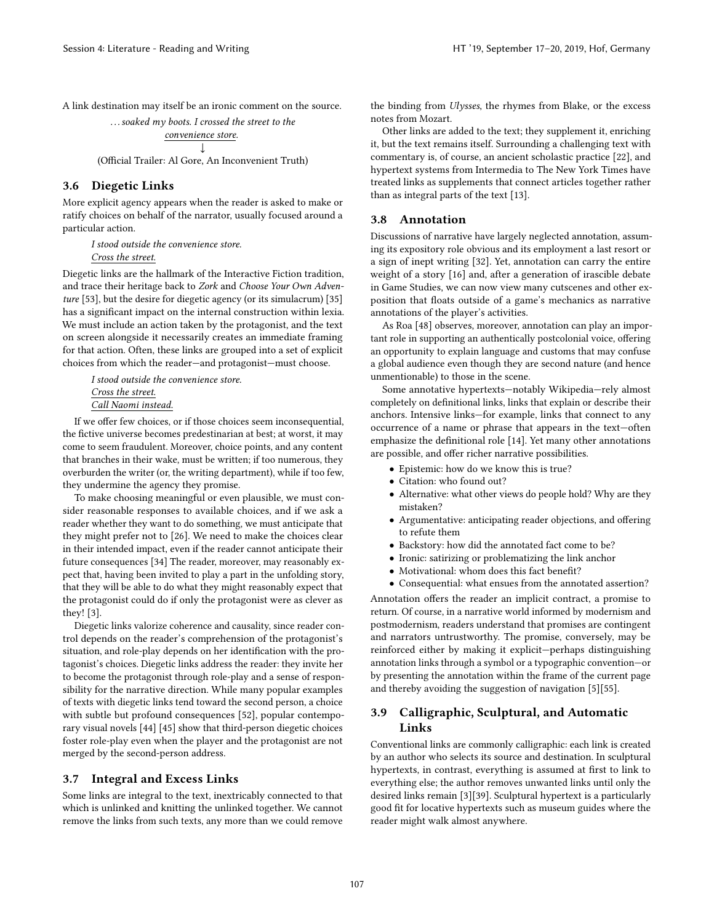A link destination may itself be an ironic comment on the source.

. . . soaked my boots. I crossed the street to the

convenience store.

↓ (Official Trailer: Al Gore, An Inconvenient Truth)

#### 3.6 Diegetic Links

More explicit agency appears when the reader is asked to make or ratify choices on behalf of the narrator, usually focused around a particular action.

I stood outside the convenience store. Cross the street.

Diegetic links are the hallmark of the Interactive Fiction tradition, and trace their heritage back to Zork and Choose Your Own Adventure [\[53\]](#page-7-27), but the desire for diegetic agency (or its simulacrum) [\[35\]](#page-7-18) has a significant impact on the internal construction within lexia. We must include an action taken by the protagonist, and the text on screen alongside it necessarily creates an immediate framing for that action. Often, these links are grouped into a set of explicit choices from which the reader—and protagonist—must choose.

I stood outside the convenience store. Cross the street. Call Naomi instead.

If we offer few choices, or if those choices seem inconsequential, the fictive universe becomes predestinarian at best; at worst, it may come to seem fraudulent. Moreover, choice points, and any content that branches in their wake, must be written; if too numerous, they overburden the writer (or, the writing department), while if too few, they undermine the agency they promise.

To make choosing meaningful or even plausible, we must consider reasonable responses to available choices, and if we ask a reader whether they want to do something, we must anticipate that they might prefer not to [\[26\]](#page-7-21). We need to make the choices clear in their intended impact, even if the reader cannot anticipate their future consequences [\[34\]](#page-7-28) The reader, moreover, may reasonably expect that, having been invited to play a part in the unfolding story, that they will be able to do what they might reasonably expect that the protagonist could do if only the protagonist were as clever as they! [\[3\]](#page-6-17).

Diegetic links valorize coherence and causality, since reader control depends on the reader's comprehension of the protagonist's situation, and role-play depends on her identification with the protagonist's choices. Diegetic links address the reader: they invite her to become the protagonist through role-play and a sense of responsibility for the narrative direction. While many popular examples of texts with diegetic links tend toward the second person, a choice with subtle but profound consequences [\[52\]](#page-7-29), popular contemporary visual novels [\[44\]](#page-7-30) [\[45\]](#page-7-31) show that third-person diegetic choices foster role-play even when the player and the protagonist are not merged by the second-person address.

## 3.7 Integral and Excess Links

Some links are integral to the text, inextricably connected to that which is unlinked and knitting the unlinked together. We cannot remove the links from such texts, any more than we could remove the binding from Ulysses, the rhymes from Blake, or the excess notes from Mozart.

Other links are added to the text; they supplement it, enriching it, but the text remains itself. Surrounding a challenging text with commentary is, of course, an ancient scholastic practice [\[22\]](#page-7-32), and hypertext systems from Intermedia to The New York Times have treated links as supplements that connect articles together rather than as integral parts of the text [\[13\]](#page-6-18).

#### 3.8 Annotation

Discussions of narrative have largely neglected annotation, assuming its expository role obvious and its employment a last resort or a sign of inept writing [\[32\]](#page-7-33). Yet, annotation can carry the entire weight of a story [\[16\]](#page-6-19) and, after a generation of irascible debate in Game Studies, we can now view many cutscenes and other exposition that floats outside of a game's mechanics as narrative annotations of the player's activities.

As Roa [\[48\]](#page-7-5) observes, moreover, annotation can play an important role in supporting an authentically postcolonial voice, offering an opportunity to explain language and customs that may confuse a global audience even though they are second nature (and hence unmentionable) to those in the scene.

Some annotative hypertexts—notably Wikipedia—rely almost completely on definitional links, links that explain or describe their anchors. Intensive links—for example, links that connect to any occurrence of a name or phrase that appears in the text—often emphasize the definitional role [\[14\]](#page-6-0). Yet many other annotations are possible, and offer richer narrative possibilities.

- Epistemic: how do we know this is true?
- Citation: who found out?
- Alternative: what other views do people hold? Why are they mistaken?
- Argumentative: anticipating reader objections, and offering to refute them
- Backstory: how did the annotated fact come to be?
- Ironic: satirizing or problematizing the link anchor
- Motivational: whom does this fact benefit?
- Consequential: what ensues from the annotated assertion?

Annotation offers the reader an implicit contract, a promise to return. Of course, in a narrative world informed by modernism and postmodernism, readers understand that promises are contingent and narrators untrustworthy. The promise, conversely, may be reinforced either by making it explicit—perhaps distinguishing annotation links through a symbol or a typographic convention—or by presenting the annotation within the frame of the current page and thereby avoiding the suggestion of navigation [\[5\]](#page-6-10)[\[55\]](#page-7-12).

# 3.9 Calligraphic, Sculptural, and Automatic Links

Conventional links are commonly calligraphic: each link is created by an author who selects its source and destination. In sculptural hypertexts, in contrast, everything is assumed at first to link to everything else; the author removes unwanted links until only the desired links remain [\[3\]](#page-6-17)[\[39\]](#page-7-23). Sculptural hypertext is a particularly good fit for locative hypertexts such as museum guides where the reader might walk almost anywhere.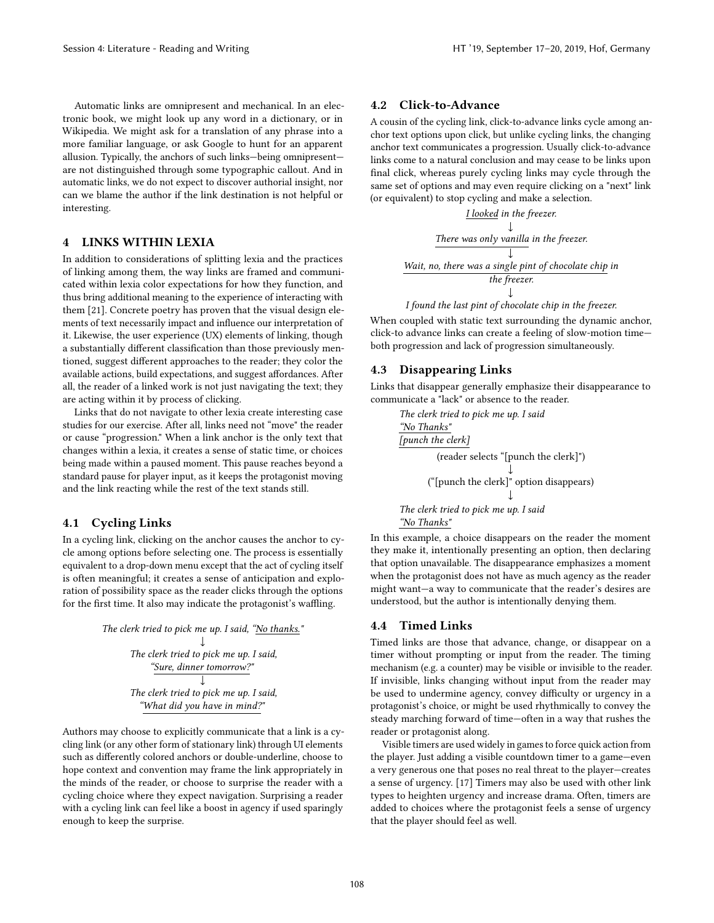Automatic links are omnipresent and mechanical. In an electronic book, we might look up any word in a dictionary, or in Wikipedia. We might ask for a translation of any phrase into a more familiar language, or ask Google to hunt for an apparent allusion. Typically, the anchors of such links—being omnipresent are not distinguished through some typographic callout. And in automatic links, we do not expect to discover authorial insight, nor can we blame the author if the link destination is not helpful or interesting.

# 4 LINKS WITHIN LEXIA

In addition to considerations of splitting lexia and the practices of linking among them, the way links are framed and communicated within lexia color expectations for how they function, and thus bring additional meaning to the experience of interacting with them [\[21\]](#page-6-15). Concrete poetry has proven that the visual design elements of text necessarily impact and influence our interpretation of it. Likewise, the user experience (UX) elements of linking, though a substantially different classification than those previously mentioned, suggest different approaches to the reader; they color the available actions, build expectations, and suggest affordances. After all, the reader of a linked work is not just navigating the text; they are acting within it by process of clicking.

Links that do not navigate to other lexia create interesting case studies for our exercise. After all, links need not "move" the reader or cause "progression." When a link anchor is the only text that changes within a lexia, it creates a sense of static time, or choices being made within a paused moment. This pause reaches beyond a standard pause for player input, as it keeps the protagonist moving and the link reacting while the rest of the text stands still.

## 4.1 Cycling Links

In a cycling link, clicking on the anchor causes the anchor to cycle among options before selecting one. The process is essentially equivalent to a drop-down menu except that the act of cycling itself is often meaningful; it creates a sense of anticipation and exploration of possibility space as the reader clicks through the options for the first time. It also may indicate the protagonist's waffling.

The clerk tried to pick me up. I said, "No thanks." ↓ The clerk tried to pick me up. I said, "Sure, dinner tomorrow?" ↓ The clerk tried to pick me up. I said, "What did you have in mind?"

Authors may choose to explicitly communicate that a link is a cycling link (or any other form of stationary link) through UI elements such as differently colored anchors or double-underline, choose to hope context and convention may frame the link appropriately in the minds of the reader, or choose to surprise the reader with a cycling choice where they expect navigation. Surprising a reader with a cycling link can feel like a boost in agency if used sparingly enough to keep the surprise.

## 4.2 Click-to-Advance

A cousin of the cycling link, click-to-advance links cycle among anchor text options upon click, but unlike cycling links, the changing anchor text communicates a progression. Usually click-to-advance links come to a natural conclusion and may cease to be links upon final click, whereas purely cycling links may cycle through the same set of options and may even require clicking on a "next" link (or equivalent) to stop cycling and make a selection.

I looked in the freezer. ↓ There was only vanilla in the freezer. ↓ Wait, no, there was a single pint of chocolate chip in the freezer. ↓

I found the last pint of chocolate chip in the freezer.

When coupled with static text surrounding the dynamic anchor, click-to advance links can create a feeling of slow-motion time both progression and lack of progression simultaneously.

## 4.3 Disappearing Links

Links that disappear generally emphasize their disappearance to communicate a "lack" or absence to the reader.

> The clerk tried to pick me up. I said "No Thanks" [punch the clerk] (reader selects "[punch the clerk]") ↓ ("[punch the clerk]" option disappears) ↓ The clerk tried to pick me up. I said "No Thanks"

In this example, a choice disappears on the reader the moment they make it, intentionally presenting an option, then declaring that option unavailable. The disappearance emphasizes a moment when the protagonist does not have as much agency as the reader might want—a way to communicate that the reader's desires are understood, but the author is intentionally denying them.

# 4.4 Timed Links

Timed links are those that advance, change, or disappear on a timer without prompting or input from the reader. The timing mechanism (e.g. a counter) may be visible or invisible to the reader. If invisible, links changing without input from the reader may be used to undermine agency, convey difficulty or urgency in a protagonist's choice, or might be used rhythmically to convey the steady marching forward of time—often in a way that rushes the reader or protagonist along.

Visible timers are used widely in games to force quick action from the player. Just adding a visible countdown timer to a game—even a very generous one that poses no real threat to the player—creates a sense of urgency. [\[17\]](#page-6-20) Timers may also be used with other link types to heighten urgency and increase drama. Often, timers are added to choices where the protagonist feels a sense of urgency that the player should feel as well.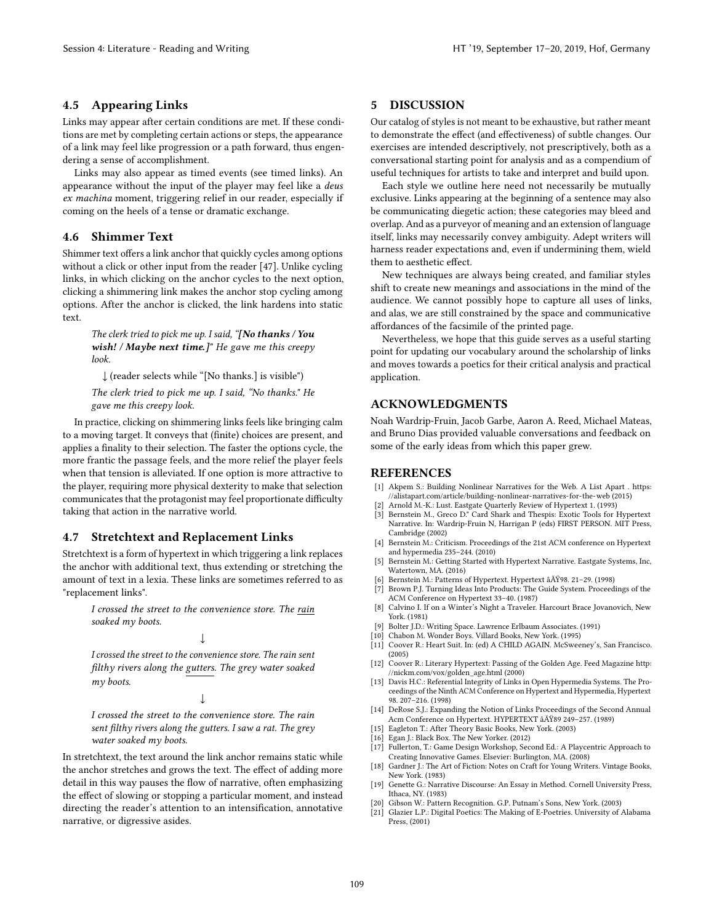## 4.5 Appearing Links

Links may appear after certain conditions are met. If these conditions are met by completing certain actions or steps, the appearance of a link may feel like progression or a path forward, thus engendering a sense of accomplishment.

Links may also appear as timed events (see timed links). An appearance without the input of the player may feel like a deus ex machina moment, triggering relief in our reader, especially if coming on the heels of a tense or dramatic exchange.

### 4.6 Shimmer Text

Shimmer text offers a link anchor that quickly cycles among options without a click or other input from the reader [\[47\]](#page-7-34). Unlike cycling links, in which clicking on the anchor cycles to the next option, clicking a shimmering link makes the anchor stop cycling among options. After the anchor is clicked, the link hardens into static text.

The clerk tried to pick me up. I said, "[No thanks / You wish! / Maybe next time.]" He gave me this creepy look.

↓ (reader selects while "[No thanks.] is visible")

The clerk tried to pick me up. I said, "No thanks." He gave me this creepy look.

In practice, clicking on shimmering links feels like bringing calm to a moving target. It conveys that (finite) choices are present, and applies a finality to their selection. The faster the options cycle, the more frantic the passage feels, and the more relief the player feels when that tension is alleviated. If one option is more attractive to the player, requiring more physical dexterity to make that selection communicates that the protagonist may feel proportionate difficulty taking that action in the narrative world.

## 4.7 Stretchtext and Replacement Links

Stretchtext is a form of hypertext in which triggering a link replaces the anchor with additional text, thus extending or stretching the amount of text in a lexia. These links are sometimes referred to as "replacement links".

I crossed the street to the convenience store. The rain soaked my boots.

#### ↓

I crossed the street to the convenience store. The rain sent filthy rivers along the gutters. The grey water soaked my boots.

#### ↓

I crossed the street to the convenience store. The rain sent filthy rivers along the gutters. I saw a rat. The grey water soaked my boots.

In stretchtext, the text around the link anchor remains static while the anchor stretches and grows the text. The effect of adding more detail in this way pauses the flow of narrative, often emphasizing the effect of slowing or stopping a particular moment, and instead directing the reader's attention to an intensification, annotative narrative, or digressive asides.

## 5 DISCUSSION

Our catalog of styles is not meant to be exhaustive, but rather meant to demonstrate the effect (and effectiveness) of subtle changes. Our exercises are intended descriptively, not prescriptively, both as a conversational starting point for analysis and as a compendium of useful techniques for artists to take and interpret and build upon.

Each style we outline here need not necessarily be mutually exclusive. Links appearing at the beginning of a sentence may also be communicating diegetic action; these categories may bleed and overlap. And as a purveyor of meaning and an extension of language itself, links may necessarily convey ambiguity. Adept writers will harness reader expectations and, even if undermining them, wield them to aesthetic effect.

New techniques are always being created, and familiar styles shift to create new meanings and associations in the mind of the audience. We cannot possibly hope to capture all uses of links, and alas, we are still constrained by the space and communicative affordances of the facsimile of the printed page.

Nevertheless, we hope that this guide serves as a useful starting point for updating our vocabulary around the scholarship of links and moves towards a poetics for their critical analysis and practical application.

# ACKNOWLEDGMENTS

Noah Wardrip-Fruin, Jacob Garbe, Aaron A. Reed, Michael Mateas, and Bruno Dias provided valuable conversations and feedback on some of the early ideas from which this paper grew.

#### REFERENCES

- <span id="page-6-4"></span>[1] Akpem S.: Building Nonlinear Narratives for the Web. A List Apart . [https:](https://alistapart.com/article/building-nonlinear-narratives-for-the-web) [//alistapart.com/article/building-nonlinear-narratives-for-the-web](https://alistapart.com/article/building-nonlinear-narratives-for-the-web) (2015)
- <span id="page-6-11"></span>Arnold M.-K.: Lust. Eastgate Quarterly Review of Hypertext 1. (1993)
- <span id="page-6-17"></span>[3] Bernstein M., Greco D." Card Shark and Thespis: Exotic Tools for Hypertext Narrative. In: Wardrip-Fruin N, Harrigan P (eds) FIRST PERSON. MIT Press, Cambridge (2002)
- <span id="page-6-5"></span>[4] Bernstein M.: Criticism. Proceedings of the 21st ACM conference on Hypertext and hypermedia 235–244. (2010)
- <span id="page-6-10"></span>[5] Bernstein M.: Getting Started with Hypertext Narrative. Eastgate Systems, Inc, Watertown, MA. (2016)
- <span id="page-6-8"></span>[6] Bernstein M.: Patterns of Hypertext. Hypertext âĂŸ98. 21–29. (1998)
- <span id="page-6-16"></span>[7] Brown P.J. Turning Ideas Into Products: The Guide System. Proceedings of the ACM Conference on Hypertext 33–40. (1987)
- <span id="page-6-13"></span>[8] Calvino I. If on a Winter's Night a Traveler. Harcourt Brace Jovanovich, New York. (1981)
- <span id="page-6-1"></span>[9] Bolter J.D.: Writing Space. Lawrence Erlbaum Associates. (1991)
- <span id="page-6-6"></span>[10] Chabon M. Wonder Boys. Villard Books, New York. (1995)
- <span id="page-6-12"></span>[11] Coover R.: Heart Suit. In: (ed) A CHILD AGAIN. McSweeney's, San Francisco. (2005)
- <span id="page-6-3"></span>[12] Coover R.: Literary Hypertext: Passing of the Golden Age. Feed Magazine [http:](http://nickm.com/vox/golden_age.html) [//nickm.com/vox/golden\\_age.html](http://nickm.com/vox/golden_age.html) (2000)
- <span id="page-6-18"></span>[13] Davis H.C.: Referential Integrity of Links in Open Hypermedia Systems. The Proceedings of the Ninth ACM Conference on Hypertext and Hypermedia, Hypertext 98. 207–216. (1998)
- <span id="page-6-0"></span>[14] DeRose S.J.: Expanding the Notion of Links Proceedings of the Second Annual Acm Conference on Hypertext. HYPERTEXT âĂŸ89 249–257. (1989)
- <span id="page-6-2"></span>Eagleton T.: After Theory Basic Books, New York. (2003)
- <span id="page-6-19"></span>Egan J.: Black Box. The New Yorker. (2012)
- <span id="page-6-20"></span>[17] Fullerton, T.: Game Design Workshop, Second Ed.: A Playcentric Approach to Creating Innovative Games. Elsevier: Burlington, MA. (2008)
- <span id="page-6-7"></span>[18] Gardner J.: The Art of Fiction: Notes on Craft for Young Writers. Vintage Books, New York. (1983)
- <span id="page-6-9"></span>[19] Genette G.: Narrative Discourse: An Essay in Method. Cornell University Press, Ithaca, NY. (1983)
- <span id="page-6-14"></span>[20] Gibson W.: Pattern Recognition. G.P. Putnam's Sons, New York. (2003)
- <span id="page-6-15"></span>[21] Glazier L.P.: Digital Poetics: The Making of E-Poetries. University of Alabama Press, (2001)